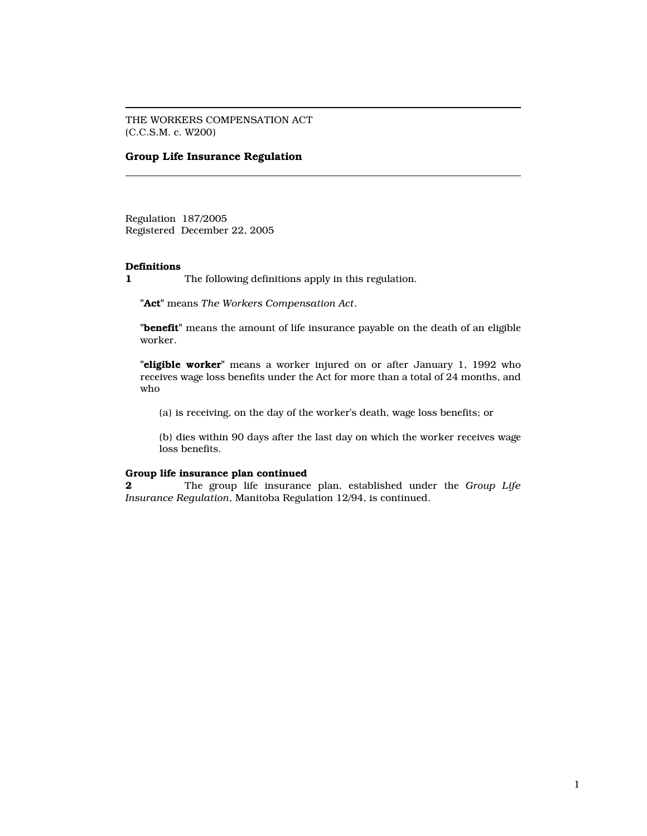THE WORKERS COMPENSATION ACT (C.C.S.M. c. W200)

# Group Life Insurance Regulation

Regulation 187/2005 Registered December 22, 2005

### Definitions

1 The following definitions apply in this regulation.

"Act" means The Workers Compensation Act.

"benefit" means the amount of life insurance payable on the death of an eligible worker.

"eligible worker" means a worker injured on or after January 1, 1992 who receives wage loss benefits under the Act for more than a total of 24 months, and who

(a) is receiving, on the day of the worker's death, wage loss benefits; or

(b) dies within 90 days after the last day on which the worker receives wage loss benefits.

#### Group life insurance plan continued

**2** The group life insurance plan, established under the Group Life Insurance Regulation, Manitoba Regulation 12/94, is continued.